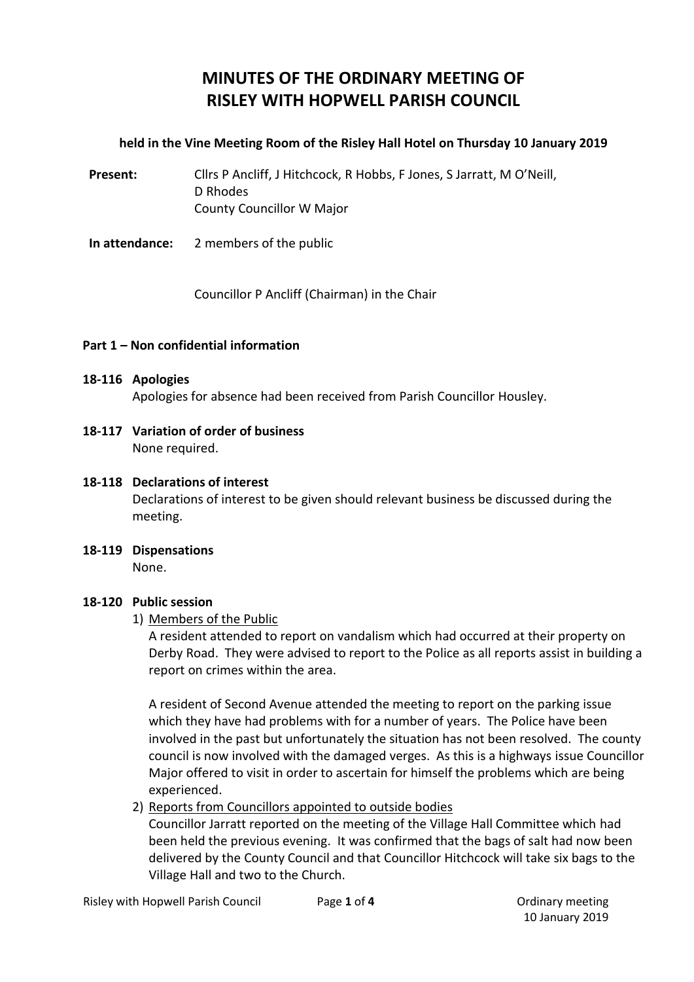# **MINUTES OF THE ORDINARY MEETING OF RISLEY WITH HOPWELL PARISH COUNCIL**

### **held in the Vine Meeting Room of the Risley Hall Hotel on Thursday 10 January 2019**

Present: Cllrs P Ancliff, J Hitchcock, R Hobbs, F Jones, S Jarratt, M O'Neill, D Rhodes County Councillor W Major

**In attendance:** 2 members of the public

Councillor P Ancliff (Chairman) in the Chair

### **Part 1 – Non confidential information**

#### **18-116 Apologies**

Apologies for absence had been received from Parish Councillor Housley.

**18-117 Variation of order of business** None required.

#### **18-118 Declarations of interest**

Declarations of interest to be given should relevant business be discussed during the meeting.

**18-119 Dispensations** None.

#### **18-120 Public session**

#### 1) Members of the Public

A resident attended to report on vandalism which had occurred at their property on Derby Road. They were advised to report to the Police as all reports assist in building a report on crimes within the area.

A resident of Second Avenue attended the meeting to report on the parking issue which they have had problems with for a number of years. The Police have been involved in the past but unfortunately the situation has not been resolved. The county council is now involved with the damaged verges. As this is a highways issue Councillor Major offered to visit in order to ascertain for himself the problems which are being experienced.

2) Reports from Councillors appointed to outside bodies

Councillor Jarratt reported on the meeting of the Village Hall Committee which had been held the previous evening. It was confirmed that the bags of salt had now been delivered by the County Council and that Councillor Hitchcock will take six bags to the Village Hall and two to the Church.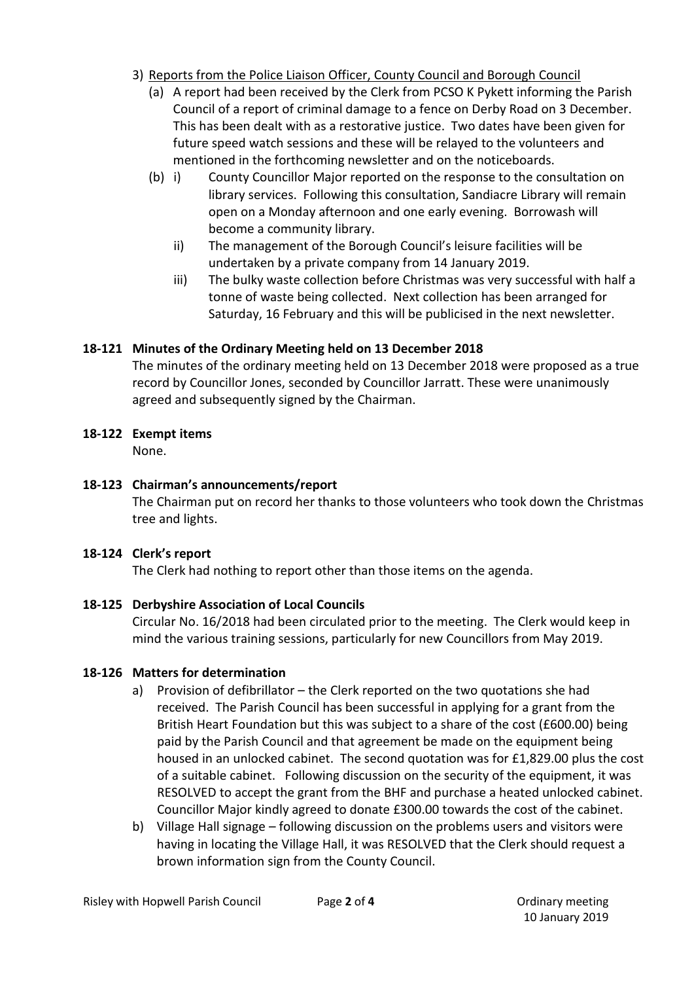- 3) Reports from the Police Liaison Officer, County Council and Borough Council
	- (a) A report had been received by the Clerk from PCSO K Pykett informing the Parish Council of a report of criminal damage to a fence on Derby Road on 3 December. This has been dealt with as a restorative justice. Two dates have been given for future speed watch sessions and these will be relayed to the volunteers and mentioned in the forthcoming newsletter and on the noticeboards.
	- (b) i) County Councillor Major reported on the response to the consultation on library services. Following this consultation, Sandiacre Library will remain open on a Monday afternoon and one early evening. Borrowash will become a community library.
		- ii) The management of the Borough Council's leisure facilities will be undertaken by a private company from 14 January 2019.
		- iii) The bulky waste collection before Christmas was very successful with half a tonne of waste being collected. Next collection has been arranged for Saturday, 16 February and this will be publicised in the next newsletter.

# **18-121 Minutes of the Ordinary Meeting held on 13 December 2018**

The minutes of the ordinary meeting held on 13 December 2018 were proposed as a true record by Councillor Jones, seconded by Councillor Jarratt. These were unanimously agreed and subsequently signed by the Chairman.

# **18-122 Exempt items**

None.

# **18-123 Chairman's announcements/report**

The Chairman put on record her thanks to those volunteers who took down the Christmas tree and lights.

# **18-124 Clerk's report**

The Clerk had nothing to report other than those items on the agenda.

# **18-125 Derbyshire Association of Local Councils**

Circular No. 16/2018 had been circulated prior to the meeting. The Clerk would keep in mind the various training sessions, particularly for new Councillors from May 2019.

# **18-126 Matters for determination**

- a) Provision of defibrillator the Clerk reported on the two quotations she had received. The Parish Council has been successful in applying for a grant from the British Heart Foundation but this was subject to a share of the cost (£600.00) being paid by the Parish Council and that agreement be made on the equipment being housed in an unlocked cabinet. The second quotation was for £1,829.00 plus the cost of a suitable cabinet. Following discussion on the security of the equipment, it was RESOLVED to accept the grant from the BHF and purchase a heated unlocked cabinet. Councillor Major kindly agreed to donate £300.00 towards the cost of the cabinet.
- b) Village Hall signage following discussion on the problems users and visitors were having in locating the Village Hall, it was RESOLVED that the Clerk should request a brown information sign from the County Council.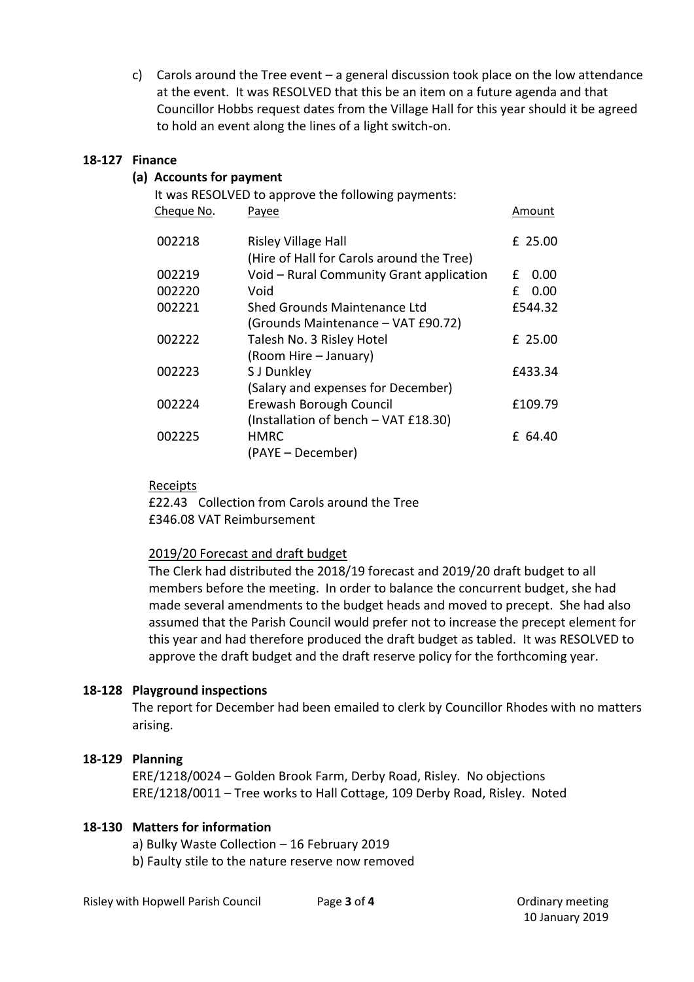c) Carols around the Tree event – a general discussion took place on the low attendance at the event. It was RESOLVED that this be an item on a future agenda and that Councillor Hobbs request dates from the Village Hall for this year should it be agreed to hold an event along the lines of a light switch-on.

### **18-127 Finance**

### **(a) Accounts for payment**

| It was RESOLVED to approve the following payments: |            |                                           |   |  |           |
|----------------------------------------------------|------------|-------------------------------------------|---|--|-----------|
|                                                    | Cheque No. | Payee                                     |   |  | Amount    |
|                                                    | 002218     | <b>Risley Village Hall</b>                |   |  | $£$ 25.00 |
|                                                    |            | (Hire of Hall for Carols around the Tree) |   |  |           |
|                                                    | 002219     | Void - Rural Community Grant application  | f |  | 0.00      |
|                                                    | 002220     | Void                                      | f |  | 0.00      |
|                                                    | 002221     | <b>Shed Grounds Maintenance Ltd</b>       |   |  | £544.32   |
|                                                    |            | (Grounds Maintenance - VAT £90.72)        |   |  |           |
|                                                    | 002222     | Talesh No. 3 Risley Hotel                 |   |  | £ 25.00   |
|                                                    |            | (Room Hire – January)                     |   |  |           |
|                                                    | 002223     | S J Dunkley                               |   |  | £433.34   |
|                                                    |            | (Salary and expenses for December)        |   |  |           |
|                                                    | 002224     | Erewash Borough Council                   |   |  | £109.79   |
|                                                    |            | (Installation of bench - VAT £18.30)      |   |  |           |
|                                                    | 002225     | <b>HMRC</b>                               |   |  | £ 64.40   |
|                                                    |            | (PAYE - December)                         |   |  |           |
|                                                    |            |                                           |   |  |           |

### Receipts

£22.43 Collection from Carols around the Tree £346.08 VAT Reimbursement

#### 2019/20 Forecast and draft budget

The Clerk had distributed the 2018/19 forecast and 2019/20 draft budget to all members before the meeting. In order to balance the concurrent budget, she had made several amendments to the budget heads and moved to precept. She had also assumed that the Parish Council would prefer not to increase the precept element for this year and had therefore produced the draft budget as tabled. It was RESOLVED to approve the draft budget and the draft reserve policy for the forthcoming year.

### **18-128 Playground inspections**

The report for December had been emailed to clerk by Councillor Rhodes with no matters arising.

### **18-129 Planning**

ERE/1218/0024 – Golden Brook Farm, Derby Road, Risley. No objections ERE/1218/0011 – Tree works to Hall Cottage, 109 Derby Road, Risley. Noted

### **18-130 Matters for information**

a) Bulky Waste Collection – 16 February 2019 b) Faulty stile to the nature reserve now removed